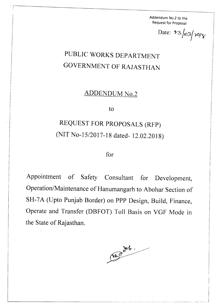Addendum No.2 to the Request for Proposal

Date:  $\frac{1}{3}$   $\frac{1}{2}$   $\frac{1}{2}$   $\frac{1}{2}$ 

## PUBLIC WORKS DEPARTMENT GOVERNMENT OF RAJASTHAN

, represented to the contract of the contract of  $\mathcal{L}_\mathcal{A}$  . The contract of the contract of the contract of the contract of the contract of the contract of the contract of the contract of the contract of the contrac

, I I

ADDENDUM No.2

to

## REQUEST FOR PROPOSALS (RFP) (NIT No-15/2017-18 dated- 12.02.2018)

for

Appointment of Safety Consultant for Development, Operation/Maintenance of Hanumangarh to Abohar Section of SH-7A (Upto Punjab Border) on PPP Design, Build, Finance, Operate and Transfer (DBFOT) Toll Basis on VGF Mode in the State of Rajasthan.

Magnet.